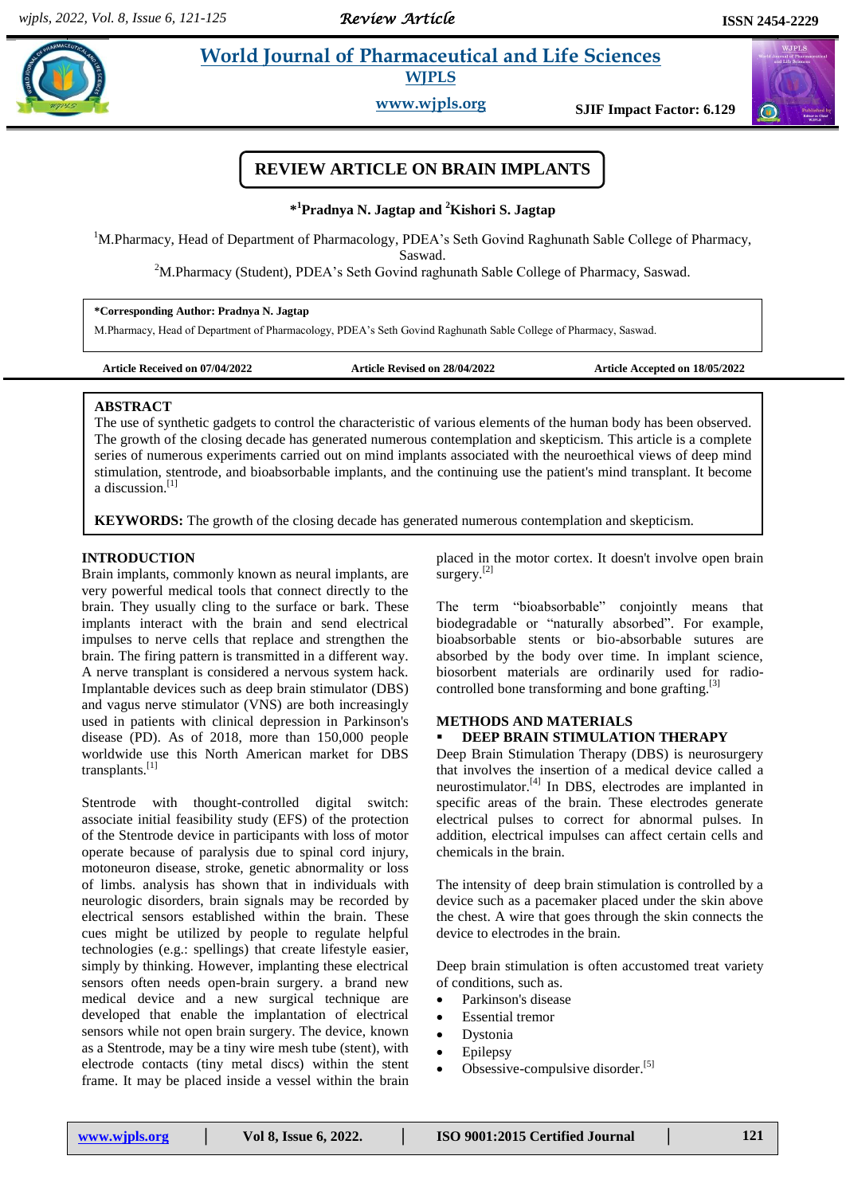# **Para** *World Journal of Pharmaceutical and Life Sciences*

**WJPLS**

**www.wjpls.org SJIF Impact Factor: 6.129**

# **REVIEW ARTICLE ON BRAIN IMPLANTS**

**\* <sup>1</sup>Pradnya N. Jagtap and <sup>2</sup>Kishori S. Jagtap**

<sup>1</sup>M.Pharmacy, Head of Department of Pharmacology, PDEA's Seth Govind Raghunath Sable College of Pharmacy, Saswad.

<sup>2</sup>M.Pharmacy (Student), PDEA's Seth Govind raghunath Sable College of Pharmacy, Saswad.

#### **\*Corresponding Author: Pradnya N. Jagtap**

M.Pharmacy, Head of Department of Pharmacology, PDEA's Seth Govind Raghunath Sable College of Pharmacy, Saswad.

**Article Received on 07/04/2022 Article Revised on 28/04/2022 Article Accepted on 18/05/2022**

#### **ABSTRACT**

The use of synthetic gadgets to control the characteristic of various elements of the human body has been observed. The growth of the closing decade has generated numerous contemplation and skepticism. This article is a complete series of numerous experiments carried out on mind implants associated with the neuroethical views of deep mind stimulation, stentrode, and bioabsorbable implants, and the continuing use the patient's mind transplant. It become a discussion.<sup>[1]</sup>

**KEYWORDS:** The growth of the closing decade has generated numerous contemplation and skepticism.

## **INTRODUCTION**

Brain implants, commonly known as neural implants, are very powerful medical tools that connect directly to the brain. They usually cling to the surface or bark. These implants interact with the brain and send electrical impulses to nerve cells that replace and strengthen the brain. The firing pattern is transmitted in a different way. A nerve transplant is considered a nervous system hack. Implantable devices such as deep brain stimulator (DBS) and vagus nerve stimulator (VNS) are both increasingly used in patients with clinical depression in Parkinson's disease (PD). As of 2018, more than 150,000 people worldwide use this North American market for DBS transplants.[1]

Stentrode with thought-controlled digital switch: associate initial feasibility study (EFS) of the protection of the Stentrode device in participants with loss of motor operate because of paralysis due to spinal cord injury, motoneuron disease, stroke, genetic abnormality or loss of limbs. analysis has shown that in individuals with neurologic disorders, brain signals may be recorded by electrical sensors established within the brain. These cues might be utilized by people to regulate helpful technologies (e.g.: spellings) that create lifestyle easier, simply by thinking. However, implanting these electrical sensors often needs open-brain surgery. a brand new medical device and a new surgical technique are developed that enable the implantation of electrical sensors while not open brain surgery. The device, known as a Stentrode, may be a tiny wire mesh tube (stent), with electrode contacts (tiny metal discs) within the stent frame. It may be placed inside a vessel within the brain placed in the motor cortex. It doesn't involve open brain surgery. $[2]$ 

The term "bioabsorbable" conjointly means that biodegradable or "naturally absorbed". For example, bioabsorbable stents or bio-absorbable sutures are absorbed by the body over time. In implant science, biosorbent materials are ordinarily used for radiocontrolled bone transforming and bone grafting. $[3]$ 

#### **METHODS AND MATERIALS DEEP BRAIN STIMULATION THERAPY**

Deep Brain Stimulation Therapy (DBS) is neurosurgery that involves the insertion of a medical device called a neurostimulator.[4] In DBS, electrodes are implanted in specific areas of the brain. These electrodes generate electrical pulses to correct for abnormal pulses. In addition, electrical impulses can affect certain cells and chemicals in the brain.

The intensity of deep brain stimulation is controlled by a device such as a pacemaker placed under the skin above the chest. A wire that goes through the skin connects the device to electrodes in the brain.

Deep brain stimulation is often accustomed treat variety of conditions, such as.

- Parkinson's disease
- Essential tremor
- Dystonia
- Epilepsy
- $\bullet$  Obsessive-compulsive disorder.<sup>[5]</sup>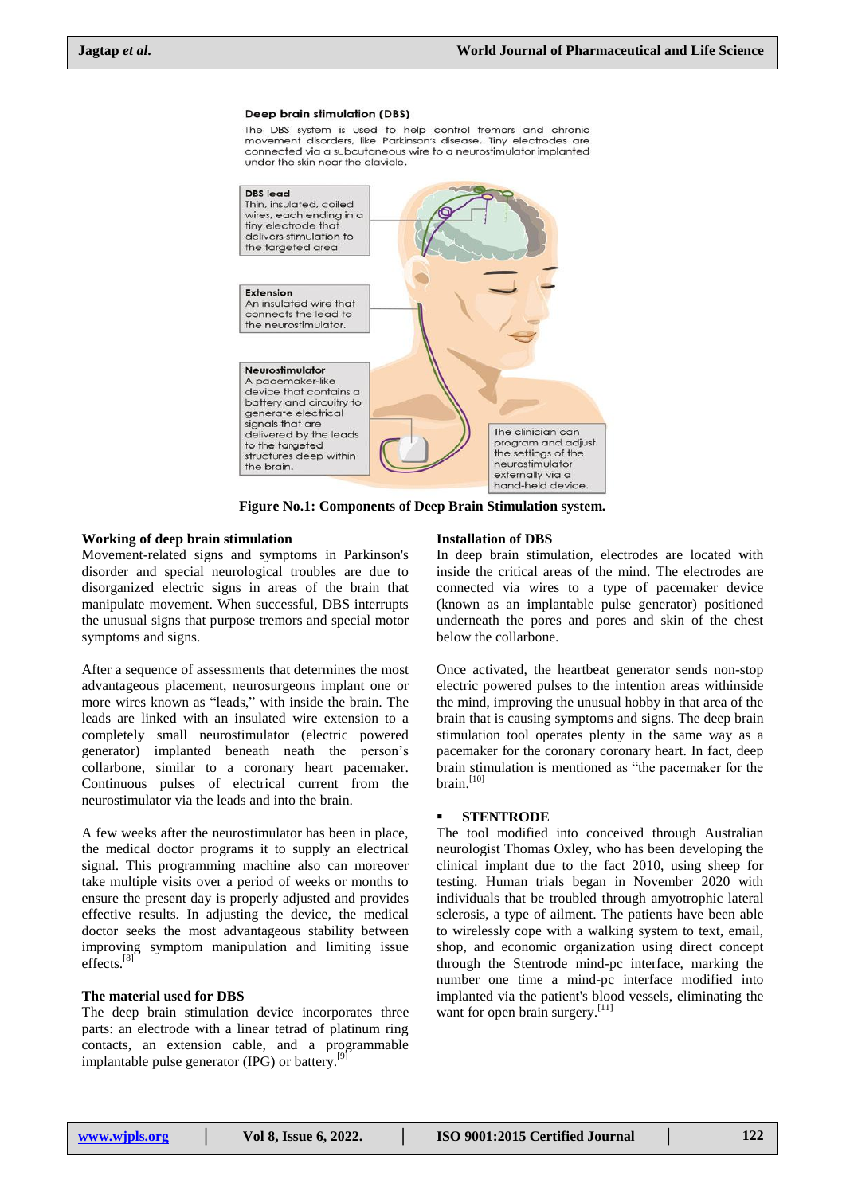#### **Deep brain stimulation (DBS)**

The DBS system is used to help control tremors and chronic movement disorders, like Parkinson's disease. Tiny electrodes are connected via a subcutaneous wire to a neurostimulator implanted under the skin near the clavicle.



**Figure No.1: Components of Deep Brain Stimulation system.**

#### **Working of deep brain stimulation**

Movement-related signs and symptoms in Parkinson's disorder and special neurological troubles are due to disorganized electric signs in areas of the brain that manipulate movement. When successful, DBS interrupts the unusual signs that purpose tremors and special motor symptoms and signs.

After a sequence of assessments that determines the most advantageous placement, neurosurgeons implant one or more wires known as "leads," with inside the brain. The leads are linked with an insulated wire extension to a completely small neurostimulator (electric powered generator) implanted beneath neath the person's collarbone, similar to a coronary heart pacemaker. Continuous pulses of electrical current from the neurostimulator via the leads and into the brain.

A few weeks after the neurostimulator has been in place, the medical doctor programs it to supply an electrical signal. This programming machine also can moreover take multiple visits over a period of weeks or months to ensure the present day is properly adjusted and provides effective results. In adjusting the device, the medical doctor seeks the most advantageous stability between improving symptom manipulation and limiting issue effects.<sup>[8]</sup>

### **The material used for DBS**

The deep brain stimulation device incorporates three parts: an electrode with a linear tetrad of platinum ring contacts, an extension cable, and a programmable implantable pulse generator (IPG) or battery.<sup>[9]</sup>

#### **Installation of DBS**

In deep brain stimulation, electrodes are located with inside the critical areas of the mind. The electrodes are connected via wires to a type of pacemaker device (known as an implantable pulse generator) positioned underneath the pores and pores and skin of the chest below the collarbone.

Once activated, the heartbeat generator sends non-stop electric powered pulses to the intention areas withinside the mind, improving the unusual hobby in that area of the brain that is causing symptoms and signs. The deep brain stimulation tool operates plenty in the same way as a pacemaker for the coronary coronary heart. In fact, deep brain stimulation is mentioned as "the pacemaker for the brain. [10]

#### **STENTRODE**

The tool modified into conceived through Australian neurologist Thomas Oxley, who has been developing the clinical implant due to the fact 2010, using sheep for testing. Human trials began in November 2020 with individuals that be troubled through amyotrophic lateral sclerosis, a type of ailment. The patients have been able to wirelessly cope with a walking system to text, email, shop, and economic organization using direct concept through the Stentrode mind-pc interface, marking the number one time a mind-pc interface modified into implanted via the patient's blood vessels, eliminating the want for open brain surgery.<sup>[11]</sup>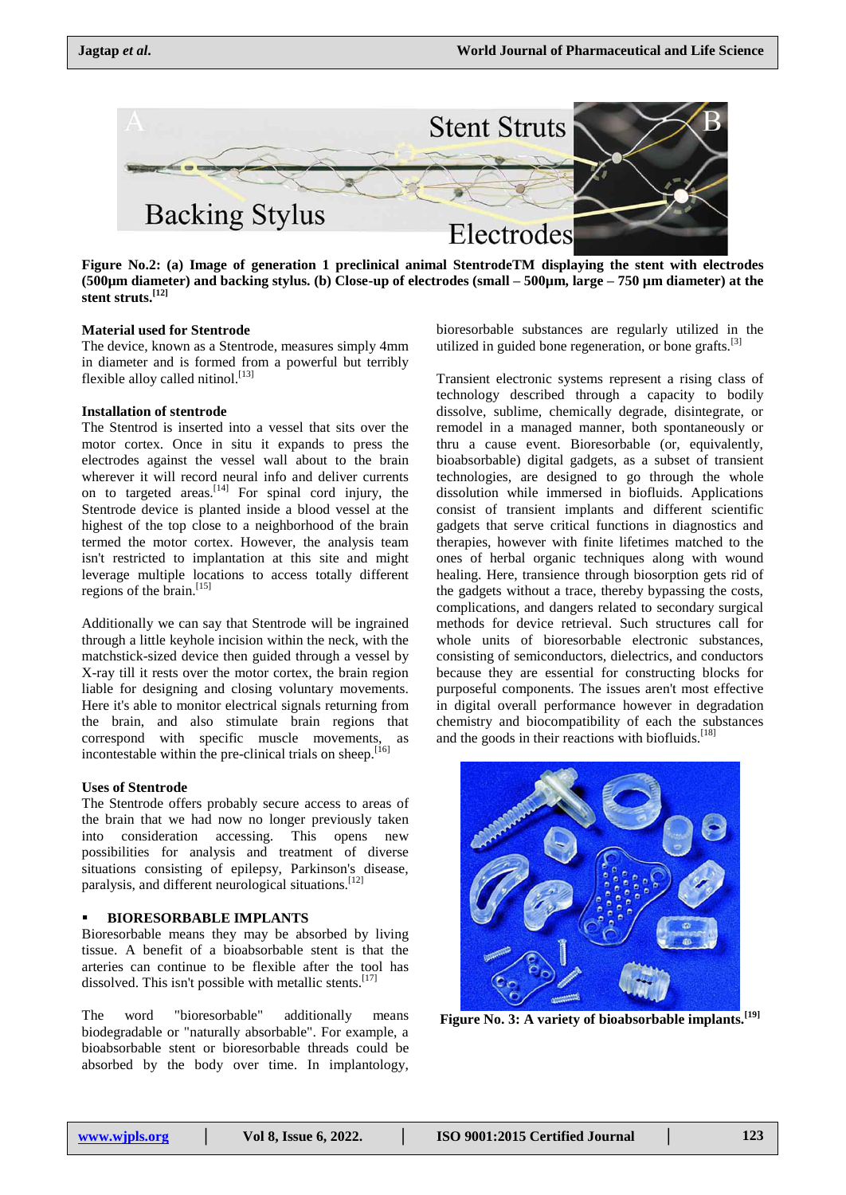

**Figure No.2: (a) Image of generation 1 preclinical animal StentrodeTM displaying the stent with electrodes (500µm diameter) and backing stylus. (b) Close-up of electrodes (small – 500µm, large – 750 µm diameter) at the stent struts.[12]**

#### **Material used for Stentrode**

The device, known as a Stentrode, measures simply 4mm in diameter and is formed from a powerful but terribly flexible alloy called nitinol.<sup>[13]</sup>

#### **Installation of stentrode**

The Stentrod is inserted into a vessel that sits over the motor cortex. Once in situ it expands to press the electrodes against the vessel wall about to the brain wherever it will record neural info and deliver currents on to targeted areas.  $[14]$  For spinal cord injury, the Stentrode device is planted inside a blood vessel at the highest of the top close to a neighborhood of the brain termed the motor cortex. However, the analysis team isn't restricted to implantation at this site and might leverage multiple locations to access totally different regions of the brain.<sup>[15]</sup>

Additionally we can say that Stentrode will be ingrained through a little keyhole incision within the neck, with the matchstick-sized device then guided through a vessel by X-ray till it rests over the motor cortex, the brain region liable for designing and closing voluntary movements. Here it's able to monitor electrical signals returning from the brain, and also stimulate brain regions that correspond with specific muscle movements, as incontestable within the pre-clinical trials on sheep.<sup>[16]</sup>

#### **Uses of Stentrode**

The Stentrode offers probably secure access to areas of the brain that we had now no longer previously taken into consideration accessing. This opens new possibilities for analysis and treatment of diverse situations consisting of epilepsy, Parkinson's disease, paralysis, and different neurological situations.<sup>[12]</sup>

#### **BIORESORBABLE IMPLANTS**

Bioresorbable means they may be absorbed by living tissue. A benefit of a bioabsorbable stent is that the arteries can continue to be flexible after the tool has dissolved. This isn't possible with metallic stents.<sup>[17]</sup>

The word "bioresorbable" additionally means biodegradable or "naturally absorbable". For example, a bioabsorbable stent or bioresorbable threads could be absorbed by the body over time. In implantology,

bioresorbable substances are regularly utilized in the utilized in guided bone regeneration, or bone grafts. $[3]$ 

Transient electronic systems represent a rising class of technology described through a capacity to bodily dissolve, sublime, chemically degrade, disintegrate, or remodel in a managed manner, both spontaneously or thru a cause event. Bioresorbable (or, equivalently, bioabsorbable) digital gadgets, as a subset of transient technologies, are designed to go through the whole dissolution while immersed in biofluids. Applications consist of transient implants and different scientific gadgets that serve critical functions in diagnostics and therapies, however with finite lifetimes matched to the ones of herbal organic techniques along with wound healing. Here, transience through biosorption gets rid of the gadgets without a trace, thereby bypassing the costs, complications, and dangers related to secondary surgical methods for device retrieval. Such structures call for whole units of bioresorbable electronic substances, consisting of semiconductors, dielectrics, and conductors because they are essential for constructing blocks for purposeful components. The issues aren't most effective in digital overall performance however in degradation chemistry and biocompatibility of each the substances and the goods in their reactions with biofluids.<sup>[18]</sup>



**Figure No. 3[: A variety of bioabsorbable implants.](https://www.researchgate.net/figure/A-variety-of-bioabsorbable-implants-for-use-in-spine-applications-Notes-Copyright-C_fig1_282531837)[19]**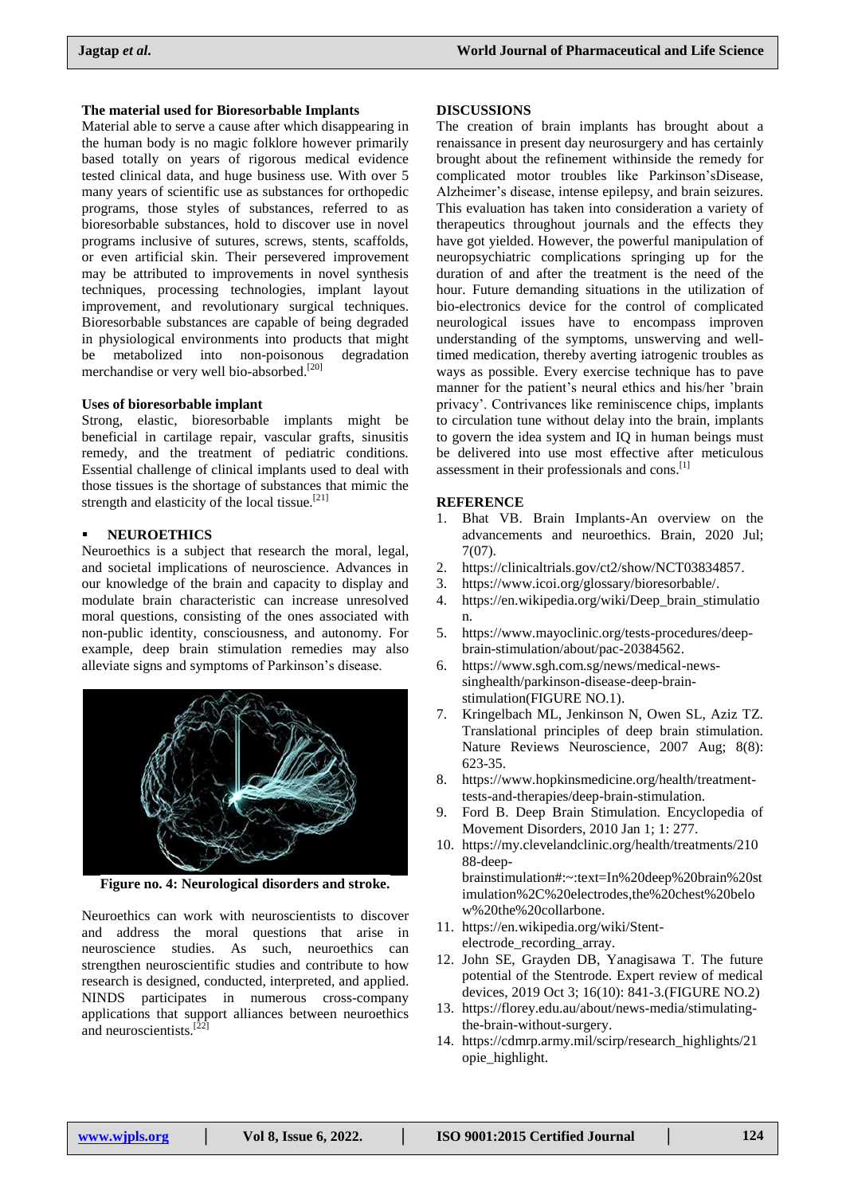#### **The material used for Bioresorbable Implants**

Material able to serve a cause after which disappearing in the human body is no magic folklore however primarily based totally on years of rigorous medical evidence tested clinical data, and huge business use. With over 5 many years of scientific use as substances for orthopedic programs, those styles of substances, referred to as bioresorbable substances, hold to discover use in novel programs inclusive of sutures, screws, stents, scaffolds, or even artificial skin. Their persevered improvement may be attributed to improvements in novel synthesis techniques, processing technologies, implant layout improvement, and revolutionary surgical techniques. Bioresorbable substances are capable of being degraded in physiological environments into products that might be metabolized into non-poisonous degradation merchandise or very well bio-absorbed.<sup>[20]</sup>

#### **Uses of bioresorbable implant**

Strong, elastic, bioresorbable implants might be beneficial in cartilage repair, vascular grafts, sinusitis remedy, and the treatment of pediatric conditions. Essential challenge of clinical implants used to deal with those tissues is the shortage of substances that mimic the strength and elasticity of the local tissue.<sup>[21]</sup>

#### **NEUROETHICS**

Neuroethics is a subject that research the moral, legal, and societal implications of neuroscience. Advances in our knowledge of the brain and capacity to display and modulate brain characteristic can increase unresolved moral questions, consisting of the ones associated with non-public identity, consciousness, and autonomy. For example, deep brain stimulation remedies may also alleviate signs and symptoms of Parkinson's disease.



**Figure no. 4: Neurological disorders and stroke.**

Neuroethics can work with neuroscientists to discover and address the moral questions that arise in neuroscience studies. As such, neuroethics can strengthen neuroscientific studies and contribute to how research is designed, conducted, interpreted, and applied. NINDS participates in numerous cross-company applications that support alliances between neuroethics and neuroscientists.<sup>[22]</sup>

#### **DISCUSSIONS**

The creation of brain implants has brought about a renaissance in present day neurosurgery and has certainly brought about the refinement withinside the remedy for complicated motor troubles like Parkinson'sDisease, Alzheimer's disease, intense epilepsy, and brain seizures. This evaluation has taken into consideration a variety of therapeutics throughout journals and the effects they have got yielded. However, the powerful manipulation of neuropsychiatric complications springing up for the duration of and after the treatment is the need of the hour. Future demanding situations in the utilization of bio-electronics device for the control of complicated neurological issues have to encompass improven understanding of the symptoms, unswerving and welltimed medication, thereby averting iatrogenic troubles as ways as possible. Every exercise technique has to pave manner for the patient's neural ethics and his/her 'brain privacy'. Contrivances like reminiscence chips, implants to circulation tune without delay into the brain, implants to govern the idea system and IQ in human beings must be delivered into use most effective after meticulous assessment in their professionals and cons.<sup>[1]</sup>

#### **REFERENCE**

- 1. Bhat VB. Brain Implants-An overview on the advancements and neuroethics. Brain, 2020 Jul; 7(07).
- 2. https://clinicaltrials.gov/ct2/show/NCT03834857.
- 3. https://www.icoi.org/glossary/bioresorbable/.
- 4. https://en.wikipedia.org/wiki/Deep\_brain\_stimulatio n.
- 5. https://www.mayoclinic.org/tests-procedures/deepbrain-stimulation/about/pac-20384562.
- 6. https://www.sgh.com.sg/news/medical-newssinghealth/parkinson-disease-deep-brainstimulation(FIGURE NO.1).
- 7. Kringelbach ML, Jenkinson N, Owen SL, Aziz TZ. Translational principles of deep brain stimulation. Nature Reviews Neuroscience, 2007 Aug; 8(8): 623-35.
- 8. https://www.hopkinsmedicine.org/health/treatmenttests-and-therapies/deep-brain-stimulation.
- 9. Ford B. Deep Brain Stimulation. Encyclopedia of Movement Disorders, 2010 Jan 1; 1: 277.
- 10. [https://my.clevelandclinic.org/health/treatments/210](https://my.clevelandclinic.org/health/treatments/21088-deep-brainstimulation#:~:text=In%20deep%20brain%20stimulation%2C%20electrodes) [88-deep](https://my.clevelandclinic.org/health/treatments/21088-deep-brainstimulation#:~:text=In%20deep%20brain%20stimulation%2C%20electrodes)[brainstimulation#:~:text=In%20deep%20brain%20st](https://my.clevelandclinic.org/health/treatments/21088-deep-brainstimulation#:~:text=In%20deep%20brain%20stimulation%2C%20electrodes)

[imulation%2C%20electrodes,](https://my.clevelandclinic.org/health/treatments/21088-deep-brainstimulation#:~:text=In%20deep%20brain%20stimulation%2C%20electrodes)the%20chest%20belo w%20the%20collarbone.

- 11. https://en.wikipedia.org/wiki/Stentelectrode\_recording\_array.
- 12. John SE, Grayden DB, Yanagisawa T. The future potential of the Stentrode. Expert review of medical devices, 2019 Oct 3; 16(10): 841-3.(FIGURE NO.2)
- 13. https://florey.edu.au/about/news-media/stimulatingthe-brain-without-surgery.
- 14. https://cdmrp.army.mil/scirp/research\_highlights/21 opie\_highlight.